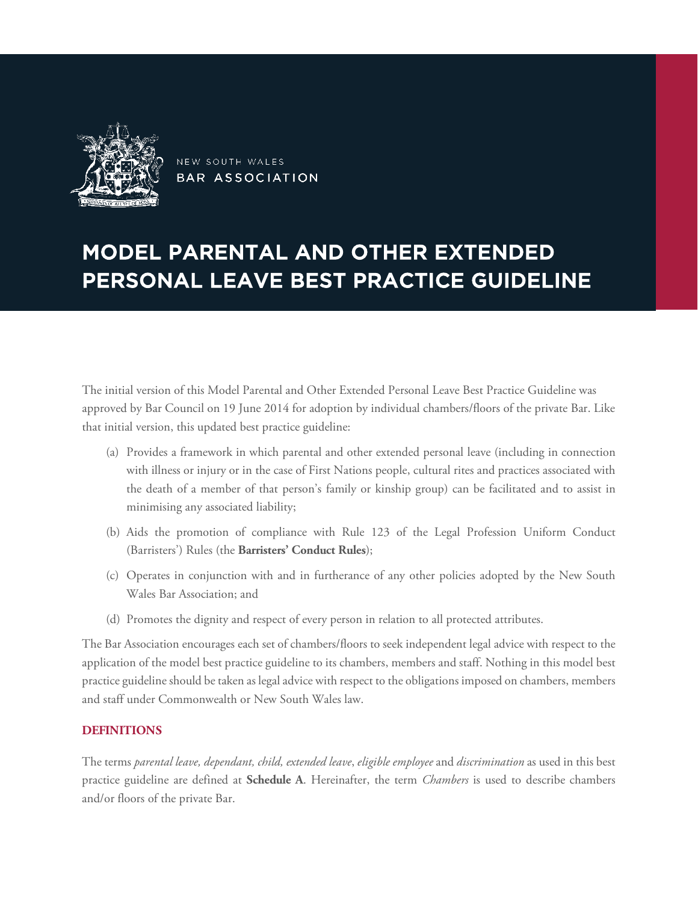

NEW SOUTH WALES BAR ASSOCIATION

# MODEL PARENTAL AND OTHER EXTENDED PERSONAL LEAVE BEST PRACTICE GUIDELINE

The initial version of this Model Parental and Other Extended Personal Leave Best Practice Guideline was approved by Bar Council on 19 June 2014 for adoption by individual chambers/floors of the private Bar. Like that initial version, this updated best practice guideline:

- (a) Provides a framework in which parental and other extended personal leave (including in connection with illness or injury or in the case of First Nations people, cultural rites and practices associated with the death of a member of that person's family or kinship group) can be facilitated and to assist in minimising any associated liability;
- (b) Aids the promotion of compliance with Rule 123 of the Legal Profession Uniform Conduct (Barristers') Rules (the **Barristers' Conduct Rules**);
- (c) Operates in conjunction with and in furtherance of any other policies adopted by the New South Wales Bar Association; and
- (d) Promotes the dignity and respect of every person in relation to all protected attributes.

The Bar Association encourages each set of chambers/floors to seek independent legal advice with respect to the application of the model best practice guideline to its chambers, members and staff. Nothing in this model best practice guideline should be taken as legal advice with respect to the obligations imposed on chambers, members and staff under Commonwealth or New South Wales law.

# **DEFINITIONS**

The terms *parental leave, dependant, child, extended leave*, *eligible employee* and *discrimination* as used in this best practice guideline are defined at **Schedule A**. Hereinafter, the term *Chambers* is used to describe chambers and/or floors of the private Bar.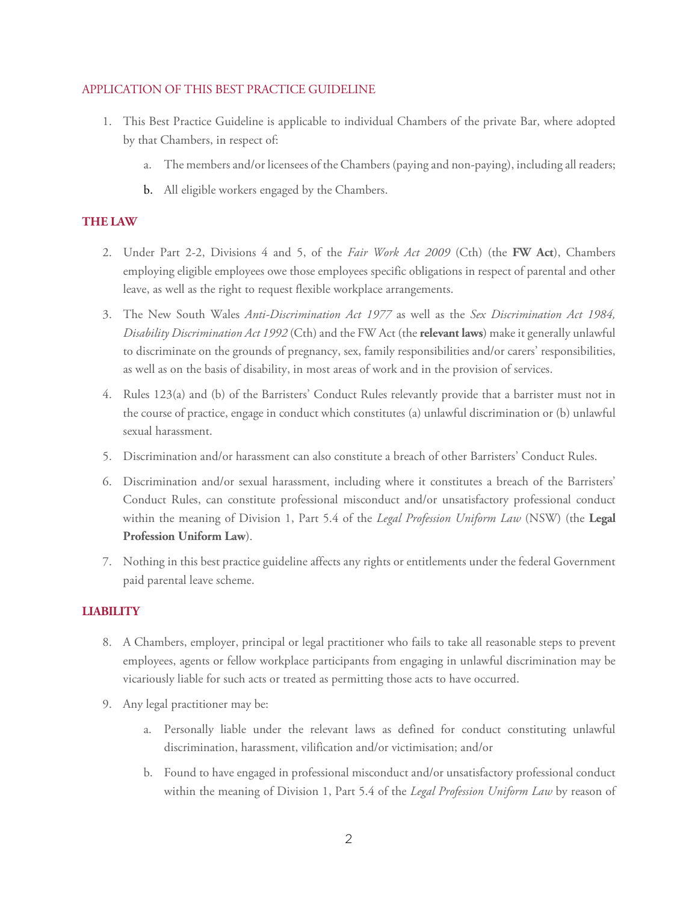### APPLICATION OF THIS BEST PRACTICE GUIDELINE

- 1. This Best Practice Guideline is applicable to individual Chambers of the private Bar, where adopted by that Chambers, in respect of:
	- a. The members and/or licensees of the Chambers (paying and non-paying), including all readers;
	- b. All eligible workers engaged by the Chambers.

## **THE LAW**

- 2. Under Part 2-2, Divisions 4 and 5, of the *Fair Work Act 2009* (Cth) (the **FW Act**), Chambers employing eligible employees owe those employees specific obligations in respect of parental and other leave, as well as the right to request flexible workplace arrangements.
- 3. The New South Wales *Anti-Discrimination Act 1977* as well as the *Sex Discrimination Act 1984, Disability Discrimination Act 1992* (Cth) and the FW Act (the **relevant laws**) make it generally unlawful to discriminate on the grounds of pregnancy, sex, family responsibilities and/or carers' responsibilities, as well as on the basis of disability, in most areas of work and in the provision of services.
- 4. Rules 123(a) and (b) of the Barristers' Conduct Rules relevantly provide that a barrister must not in the course of practice, engage in conduct which constitutes (a) unlawful discrimination or (b) unlawful sexual harassment.
- 5. Discrimination and/or harassment can also constitute a breach of other Barristers' Conduct Rules.
- 6. Discrimination and/or sexual harassment, including where it constitutes a breach of the Barristers' Conduct Rules, can constitute professional misconduct and/or unsatisfactory professional conduct within the meaning of Division 1, Part 5.4 of the *Legal Profession Uniform Law* (NSW) (the **Legal Profession Uniform Law**).
- 7. Nothing in this best practice guideline affects any rights or entitlements under the federal Government paid parental leave scheme.

# **LIABILITY**

- 8. A Chambers, employer, principal or legal practitioner who fails to take all reasonable steps to prevent employees, agents or fellow workplace participants from engaging in unlawful discrimination may be vicariously liable for such acts or treated as permitting those acts to have occurred.
- 9. Any legal practitioner may be:
	- a. Personally liable under the relevant laws as defined for conduct constituting unlawful discrimination, harassment, vilification and/or victimisation; and/or
	- b. Found to have engaged in professional misconduct and/or unsatisfactory professional conduct within the meaning of Division 1, Part 5.4 of the *Legal Profession Uniform Law* by reason of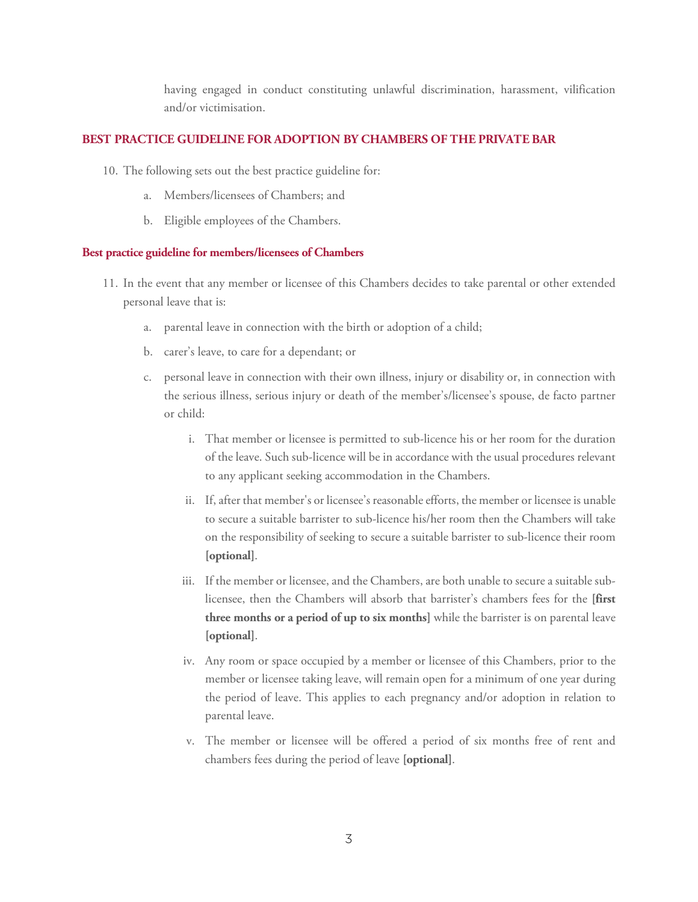having engaged in conduct constituting unlawful discrimination, harassment, vilification and/or victimisation.

## **BEST PRACTICE GUIDELINE FOR ADOPTION BY CHAMBERS OF THE PRIVATE BAR**

- 10. The following sets out the best practice guideline for:
	- a. Members/licensees of Chambers; and
	- b. Eligible employees of the Chambers.

#### **Best practice guideline for members/licensees of Chambers**

- 11. In the event that any member or licensee of this Chambers decides to take parental or other extended personal leave that is:
	- a. parental leave in connection with the birth or adoption of a child;
	- b. carer's leave, to care for a dependant; or
	- c. personal leave in connection with their own illness, injury or disability or, in connection with the serious illness, serious injury or death of the member's/licensee's spouse, de facto partner or child:
		- i. That member or licensee is permitted to sub-licence his or her room for the duration of the leave. Such sub-licence will be in accordance with the usual procedures relevant to any applicant seeking accommodation in the Chambers.
		- ii. If, after that member's or licensee's reasonable efforts, the member or licensee is unable to secure a suitable barrister to sub-licence his/her room then the Chambers will take on the responsibility of seeking to secure a suitable barrister to sub-licence their room **[optional]**.
		- iii. If the member or licensee, and the Chambers, are both unable to secure a suitable sublicensee, then the Chambers will absorb that barrister's chambers fees for the **[first three months or a period of up to six months]** while the barrister is on parental leave **[optional]**.
		- iv. Any room or space occupied by a member or licensee of this Chambers, prior to the member or licensee taking leave, will remain open for a minimum of one year during the period of leave. This applies to each pregnancy and/or adoption in relation to parental leave.
		- v. The member or licensee will be offered a period of six months free of rent and chambers fees during the period of leave **[optional]**.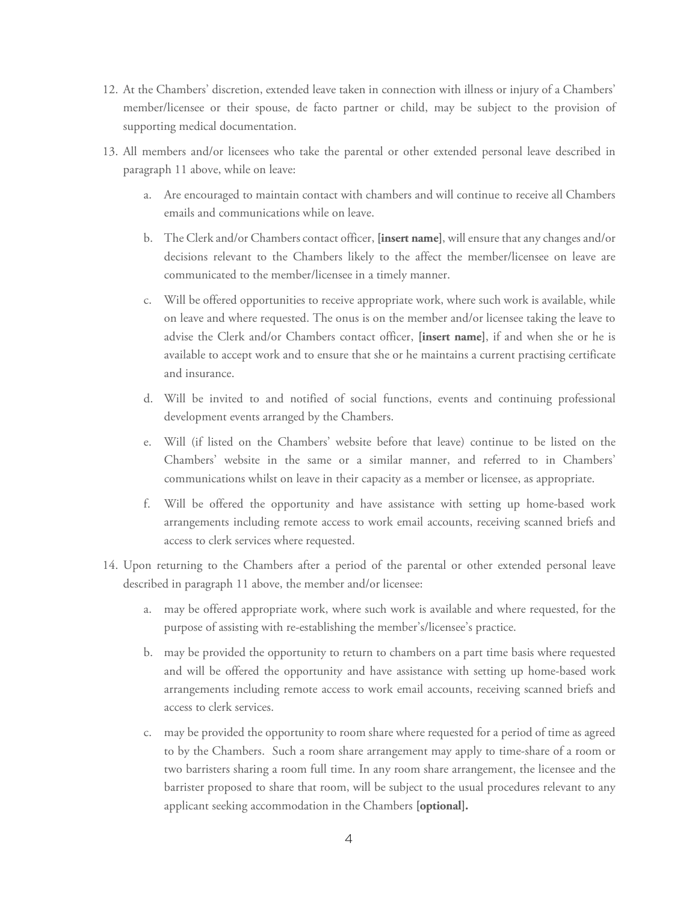- 12. At the Chambers' discretion, extended leave taken in connection with illness or injury of a Chambers' member/licensee or their spouse, de facto partner or child, may be subject to the provision of supporting medical documentation.
- 13. All members and/or licensees who take the parental or other extended personal leave described in paragraph 11 above, while on leave:
	- a. Are encouraged to maintain contact with chambers and will continue to receive all Chambers emails and communications while on leave.
	- b. The Clerk and/or Chambers contact officer, **[insert name]**, will ensure that any changes and/or decisions relevant to the Chambers likely to the affect the member/licensee on leave are communicated to the member/licensee in a timely manner.
	- c. Will be offered opportunities to receive appropriate work, where such work is available, while on leave and where requested. The onus is on the member and/or licensee taking the leave to advise the Clerk and/or Chambers contact officer, **[insert name]**, if and when she or he is available to accept work and to ensure that she or he maintains a current practising certificate and insurance.
	- d. Will be invited to and notified of social functions, events and continuing professional development events arranged by the Chambers.
	- e. Will (if listed on the Chambers' website before that leave) continue to be listed on the Chambers' website in the same or a similar manner, and referred to in Chambers' communications whilst on leave in their capacity as a member or licensee, as appropriate.
	- f. Will be offered the opportunity and have assistance with setting up home-based work arrangements including remote access to work email accounts, receiving scanned briefs and access to clerk services where requested.
- 14. Upon returning to the Chambers after a period of the parental or other extended personal leave described in paragraph 11 above, the member and/or licensee:
	- a. may be offered appropriate work, where such work is available and where requested, for the purpose of assisting with re-establishing the member's/licensee's practice.
	- b. may be provided the opportunity to return to chambers on a part time basis where requested and will be offered the opportunity and have assistance with setting up home-based work arrangements including remote access to work email accounts, receiving scanned briefs and access to clerk services.
	- c. may be provided the opportunity to room share where requested for a period of time as agreed to by the Chambers. Such a room share arrangement may apply to time-share of a room or two barristers sharing a room full time. In any room share arrangement, the licensee and the barrister proposed to share that room, will be subject to the usual procedures relevant to any applicant seeking accommodation in the Chambers **[optional].**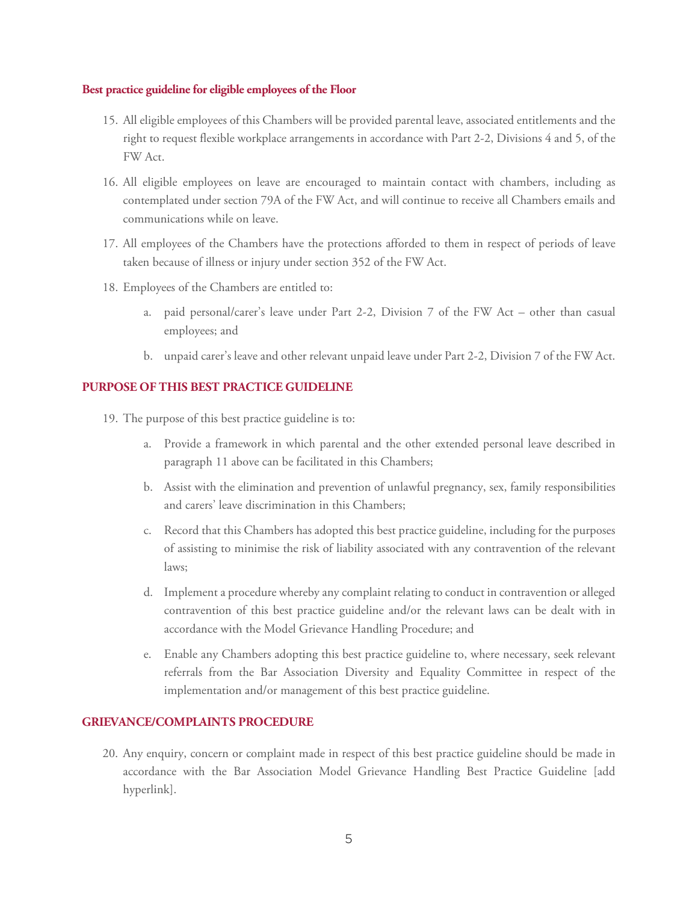#### **Best practice guideline for eligible employees of the Floor**

- 15. All eligible employees of this Chambers will be provided parental leave, associated entitlements and the right to request flexible workplace arrangements in accordance with Part 2-2, Divisions 4 and 5, of the FW Act.
- 16. All eligible employees on leave are encouraged to maintain contact with chambers, including as contemplated under section 79A of the FW Act, and will continue to receive all Chambers emails and communications while on leave.
- 17. All employees of the Chambers have the protections afforded to them in respect of periods of leave taken because of illness or injury under section 352 of the FW Act.
- 18. Employees of the Chambers are entitled to:
	- a. paid personal/carer's leave under Part 2-2, Division 7 of the FW Act other than casual employees; and
	- b. unpaid carer's leave and other relevant unpaid leave under Part 2-2, Division 7 of the FW Act.

#### **PURPOSE OF THIS BEST PRACTICE GUIDELINE**

- 19. The purpose of this best practice guideline is to:
	- a. Provide a framework in which parental and the other extended personal leave described in paragraph 11 above can be facilitated in this Chambers;
	- b. Assist with the elimination and prevention of unlawful pregnancy, sex, family responsibilities and carers' leave discrimination in this Chambers;
	- c. Record that this Chambers has adopted this best practice guideline, including for the purposes of assisting to minimise the risk of liability associated with any contravention of the relevant laws;
	- d. Implement a procedure whereby any complaint relating to conduct in contravention or alleged contravention of this best practice guideline and/or the relevant laws can be dealt with in accordance with the Model Grievance Handling Procedure; and
	- e. Enable any Chambers adopting this best practice guideline to, where necessary, seek relevant referrals from the Bar Association Diversity and Equality Committee in respect of the implementation and/or management of this best practice guideline.

## **GRIEVANCE/COMPLAINTS PROCEDURE**

20. Any enquiry, concern or complaint made in respect of this best practice guideline should be made in accordance with the Bar Association Model Grievance Handling Best Practice Guideline [add hyperlink].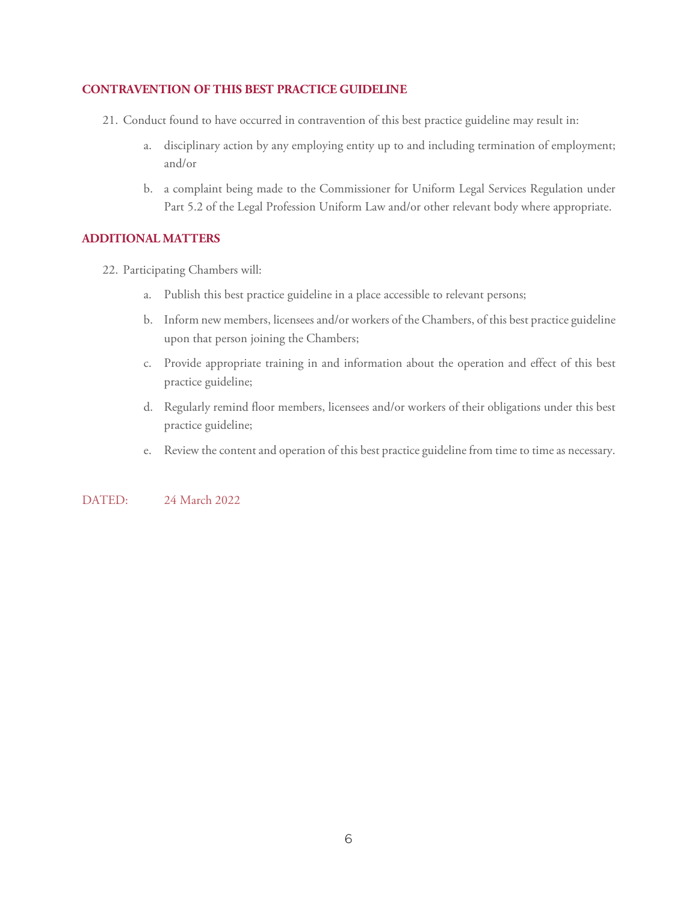## **CONTRAVENTION OF THIS BEST PRACTICE GUIDELINE**

- 21. Conduct found to have occurred in contravention of this best practice guideline may result in:
	- a. disciplinary action by any employing entity up to and including termination of employment; and/or
	- b. a complaint being made to the Commissioner for Uniform Legal Services Regulation under Part 5.2 of the Legal Profession Uniform Law and/or other relevant body where appropriate.

## **ADDITIONAL MATTERS**

- 22. Participating Chambers will:
	- a. Publish this best practice guideline in a place accessible to relevant persons;
	- b. Inform new members, licensees and/or workers of the Chambers, of this best practice guideline upon that person joining the Chambers;
	- c. Provide appropriate training in and information about the operation and effect of this best practice guideline;
	- d. Regularly remind floor members, licensees and/or workers of their obligations under this best practice guideline;
	- e. Review the content and operation of this best practice guideline from time to time as necessary.

DATED: 24 March 2022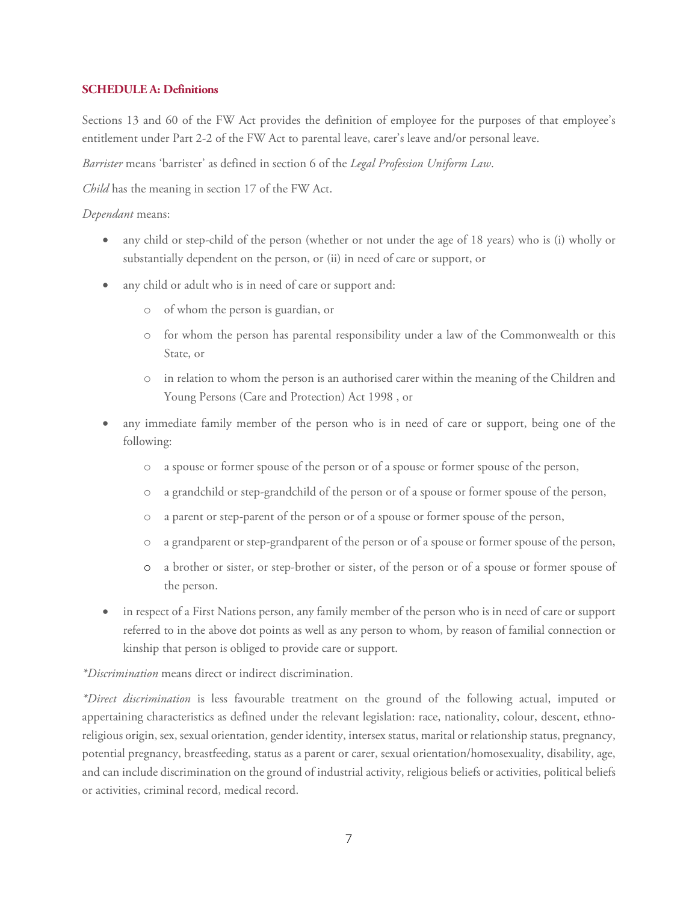# **SCHEDULE A: Definitions**

Sections 13 and 60 of the FW Act provides the definition of employee for the purposes of that employee's entitlement under Part 2-2 of the FW Act to parental leave, carer's leave and/or personal leave.

*Barrister* means 'barrister' as defined in section 6 of the *Legal Profession Uniform Law*.

*Child* has the meaning in section 17 of the FW Act.

# *Dependant* means:

- any child or [step-child](http://www.austlii.edu.au/au/legis/nsw/consol_act/aa1977204/s49s.html#step-child) of the person (whether or not under the age of 18 years) who is (i) wholly or substantially dependent on the person, or (ii) in need of care or support, or
- any child or adult who is in need of care or support and:
	- o of whom the person is guardian, or
	- o for whom the person has parental responsibility under a law of the Commonwealth or this State, or
	- o in relation to whom the person is an authorised carer within the meaning of the [Children and](http://www.austlii.edu.au/au/legis/nsw/consol_act/caypapa1998442/)  [Young Persons \(Care](http://www.austlii.edu.au/au/legis/nsw/consol_act/caypapa1998442/) [and Protection\) Act 1998](http://www.austlii.edu.au/au/legis/nsw/consol_act/caypapa1998442/) , or
- any immediate family member of the person who is in need of care or support, being one of the following:
	- o a [spouse](http://www.austlii.edu.au/au/legis/nsw/consol_act/aa1977204/s49s.html#spouse) or former [spouse](http://www.austlii.edu.au/au/legis/nsw/consol_act/aa1977204/s49s.html#spouse) of the person or of [a spouse](http://www.austlii.edu.au/au/legis/nsw/consol_act/aa1977204/s49s.html#spouse) or former [spouse](http://www.austlii.edu.au/au/legis/nsw/consol_act/aa1977204/s49s.html#spouse) of the person,
	- o a grandchild or [step-grandchild](http://www.austlii.edu.au/au/legis/nsw/consol_act/aa1977204/s49s.html#step-grandchild) of the person or of [a spouse](http://www.austlii.edu.au/au/legis/nsw/consol_act/aa1977204/s49s.html#spouse) or former [spouse](http://www.austlii.edu.au/au/legis/nsw/consol_act/aa1977204/s49s.html#spouse) of the person,
	- o a parent or step-parent of the person or of a [spouse](http://www.austlii.edu.au/au/legis/nsw/consol_act/aa1977204/s49s.html#spouse) or former [spouse](http://www.austlii.edu.au/au/legis/nsw/consol_act/aa1977204/s49s.html#spouse) of the person,
	- o a grandparent or step-grandparent of the person or of a [spouse](http://www.austlii.edu.au/au/legis/nsw/consol_act/aa1977204/s49s.html#spouse) or forme[r spouse](http://www.austlii.edu.au/au/legis/nsw/consol_act/aa1977204/s49s.html#spouse) of the person,
	- o a brother or sister, or step-brother or sister, of the person or of a [spouse](http://www.austlii.edu.au/au/legis/nsw/consol_act/aa1977204/s49s.html#spouse) or former [spouse](http://www.austlii.edu.au/au/legis/nsw/consol_act/aa1977204/s49s.html#spouse) of the person.
- in respect of a First Nations person, any family member of the person who is in need of care or support referred to in the above dot points as well as any person to whom, by reason of familial connection or kinship that person is obliged to provide care or support.

*\*Discrimination* means direct or indirect discrimination.

*\*Direct discrimination* is less favourable treatment on the ground of the following actual, imputed or appertaining characteristics as defined under the relevant legislation: race, nationality, colour, descent, ethnoreligious origin, sex, sexual orientation, gender identity, intersex status, marital or relationship status, pregnancy, potential pregnancy, breastfeeding, status as a parent or carer, sexual orientation/homosexuality, disability, age, and can include discrimination on the ground of industrial activity, religious beliefs or activities, political beliefs or activities, criminal record, medical record.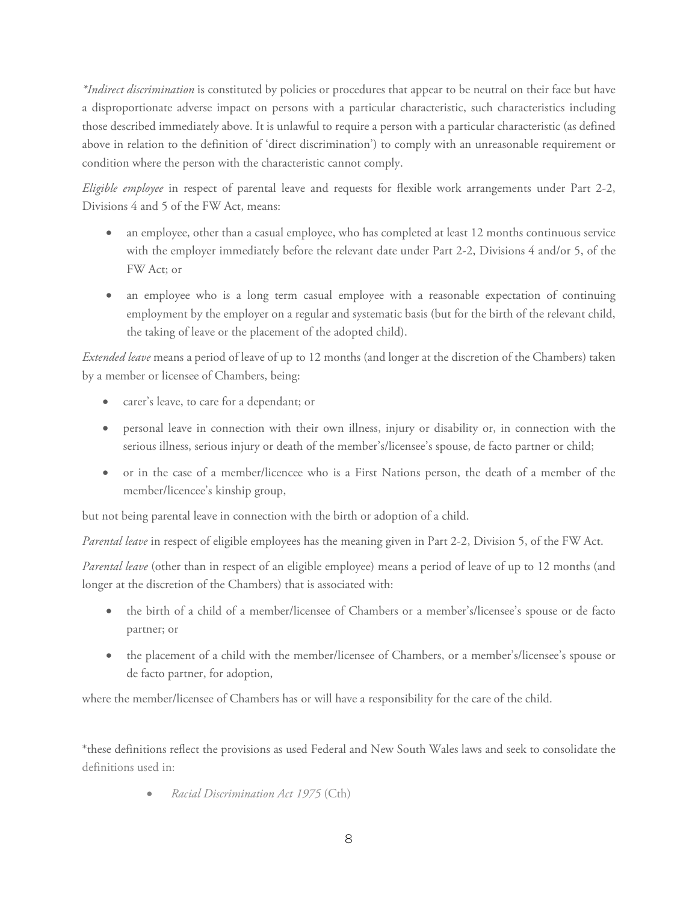*\*Indirect discrimination* is constituted by policies or procedures that appear to be neutral on their face but have a disproportionate adverse impact on persons with a particular characteristic, such characteristics including those described immediately above. It is unlawful to require a person with a particular characteristic (as defined above in relation to the definition of 'direct discrimination') to comply with an unreasonable requirement or condition where the person with the characteristic cannot comply.

*Eligible employee* in respect of parental leave and requests for flexible work arrangements under Part 2-2, Divisions 4 and 5 of the FW Act, means:

- an employee, other than a casual employee, who has completed at least 12 months continuous service with the employer immediately before the relevant date under Part 2-2, Divisions 4 and/or 5, of the FW Act; or
- an employee who is a long term casual employee with a reasonable expectation of continuing employment by the employer on a regular and systematic basis (but for the birth of the relevant child, the taking of leave or the placement of the adopted child).

*Extended leave* means a period of leave of up to 12 months (and longer at the discretion of the Chambers) taken by a member or licensee of Chambers, being:

- carer's leave, to care for a dependant; or
- personal leave in connection with their own illness, injury or disability or, in connection with the serious illness, serious injury or death of the member's/licensee's spouse, de facto partner or child;
- or in the case of a member/licencee who is a First Nations person, the death of a member of the member/licencee's kinship group,

but not being parental leave in connection with the birth or adoption of a child.

*Parental leave* in respect of eligible employees has the meaning given in Part 2-2, Division 5, of the FW Act.

*Parental leave* (other than in respect of an eligible employee) means a period of leave of up to 12 months (and longer at the discretion of the Chambers) that is associated with:

- the birth of a child of a member/licensee of Chambers or a member's/licensee's spouse or de facto partner; or
- the placement of a child with the member/licensee of Chambers, or a member's/licensee's spouse or de facto partner, for adoption,

where the member/licensee of Chambers has or will have a responsibility for the care of th[e child.](http://www.austlii.edu.au/au/legis/cth/consol_act/fwa2009114/s12.html#child)

\*these definitions reflect the provisions as used Federal and New South Wales laws and seek to consolidate the definitions used in:

• *Racial Discrimination Act 1975* (Cth)